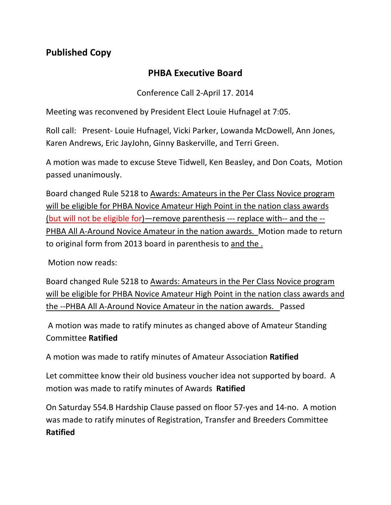## **Published Copy**

## **PHBA Executive Board**

Conference Call 2-April 17. 2014

Meeting was reconvened by President Elect Louie Hufnagel at 7:05.

Roll call: Present- Louie Hufnagel, Vicki Parker, Lowanda McDowell, Ann Jones, Karen Andrews, Eric JayJohn, Ginny Baskerville, and Terri Green.

A motion was made to excuse Steve Tidwell, Ken Beasley, and Don Coats, Motion passed unanimously.

Board changed Rule 5218 to Awards: Amateurs in the Per Class Novice program will be eligible for PHBA Novice Amateur High Point in the nation class awards (but will not be eligible for)—remove parenthesis --- replace with-- and the -- PHBA All A-Around Novice Amateur in the nation awards. Motion made to return to original form from 2013 board in parenthesis to and the .

Motion now reads:

Board changed Rule 5218 to Awards: Amateurs in the Per Class Novice program will be eligible for PHBA Novice Amateur High Point in the nation class awards and the --PHBA All A-Around Novice Amateur in the nation awards. Passed

A motion was made to ratify minutes as changed above of Amateur Standing Committee **Ratified**

A motion was made to ratify minutes of Amateur Association **Ratified**

Let committee know their old business voucher idea not supported by board. A motion was made to ratify minutes of Awards **Ratified**

On Saturday 554.B Hardship Clause passed on floor 57-yes and 14-no. A motion was made to ratify minutes of Registration, Transfer and Breeders Committee **Ratified**